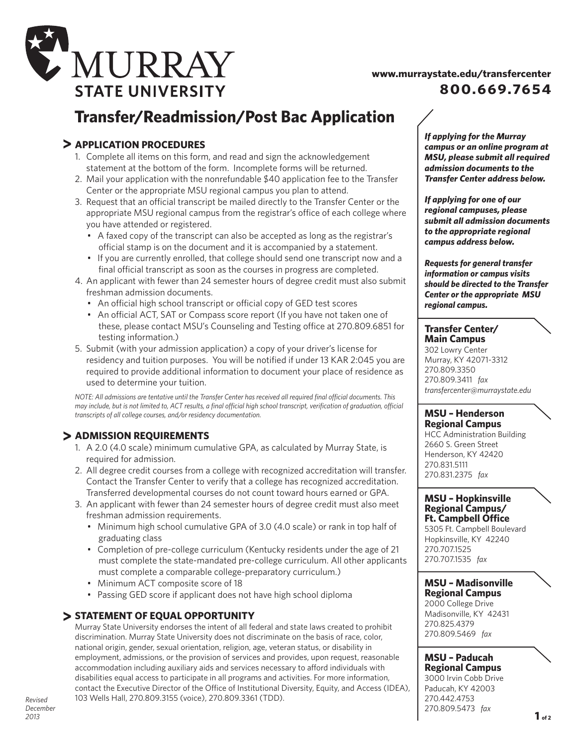

# **www.murraystate.edu/transfercenter 800.669.7654**

# **Transfer/Readmission/Post Bac Application**

# **APPLICATION PROCEDURES**

- 1. Complete all items on this form, and read and sign the acknowledgement statement at the bottom of the form. Incomplete forms will be returned.
- 2. Mail your application with the nonrefundable \$40 application fee to the Transfer Center or the appropriate MSU regional campus you plan to attend.
- 3. Request that an official transcript be mailed directly to the Transfer Center or the appropriate MSU regional campus from the registrar's office of each college where you have attended or registered.
	- A faxed copy of the transcript can also be accepted as long as the registrar's official stamp is on the document and it is accompanied by a statement.
	- If you are currently enrolled, that college should send one transcript now and a final official transcript as soon as the courses in progress are completed.
- 4. An applicant with fewer than 24 semester hours of degree credit must also submit freshman admission documents.
	- An official high school transcript or official copy of GED test scores
	- An official ACT, SAT or Compass score report (If you have not taken one of these, please contact MSU's Counseling and Testing office at 270.809.6851 for testing information.)
- 5. Submit (with your admission application) a copy of your driver's license for residency and tuition purposes. You will be notified if under 13 KAR 2:045 you are required to provide additional information to document your place of residence as used to determine your tuition.

*NOTE: All admissions are tentative until the Transfer Center has received all required final official documents. This may include, but is not limited to, ACT results, a final official high school transcript, verification of graduation, official transcripts of all college courses, and/or residency documentation.*

## **Admission REQUIREMENTS**

- 1. A 2.0 (4.0 scale) minimum cumulative GPA, as calculated by Murray State, is required for admission.
- 2. All degree credit courses from a college with recognized accreditation will transfer. Contact the Transfer Center to verify that a college has recognized accreditation. Transferred developmental courses do not count toward hours earned or GPA.
- 3. An applicant with fewer than 24 semester hours of degree credit must also meet freshman admission requirements.
	- Minimum high school cumulative GPA of 3.0 (4.0 scale) or rank in top half of graduating class
	- Completion of pre-college curriculum (Kentucky residents under the age of 21 must complete the state-mandated pre-college curriculum. All other applicants must complete a comparable college-preparatory curriculum.)
	- Minimum ACT composite score of 18
	- Passing GED score if applicant does not have high school diploma

### **STATEMENT OF EQUAL OPPORTUNITY**

Murray State University endorses the intent of all federal and state laws created to prohibit discrimination. Murray State University does not discriminate on the basis of race, color, national origin, gender, sexual orientation, religion, age, veteran status, or disability in employment, admissions, or the provision of services and provides, upon request, reasonable accommodation including auxiliary aids and services necessary to afford individuals with disabilities equal access to participate in all programs and activities. For more information, contact the Executive Director of the Office of Institutional Diversity, Equity, and Access (IDEA), 103 Wells Hall, 270.809.3155 (voice), 270.809.3361 (TDD).

*If applying for the Murray campus or an online program at MSU, please submit all required admission documents to the Transfer Center address below.* 

*If applying for one of our regional campuses, please submit all admission documents to the appropriate regional campus address below.*

*Requests for general transfer information or campus visits should be directed to the Transfer Center or the appropriate MSU regional campus.*

### **Transfer Center/ Main Campus**

302 Lowry Center Murray, KY 42071-3312 270.809.3350 270.809.3411 *fax transfercenter@murraystate.edu*

### **MSU – Henderson Regional Campus**

HCC Administration Building 2660 S. Green Street Henderson, KY 42420 270.831.5111 270.831.2375 *fax*

### **MSU – Hopkinsville Regional Campus/ Ft. Campbell Office**

5305 Ft. Campbell Boulevard Hopkinsville, KY 42240 270.707.1525 270.707.1535 *fax*

### **MSU – Madisonville Regional Campus**

2000 College Drive Madisonville, KY 42431 270.825.4379 270.809.5469 *fax*

 **MSU – Paducah Regional Campus**

3000 Irvin Cobb Drive Paducah, KY 42003 270.442.4753 270.809.5473 *fax*